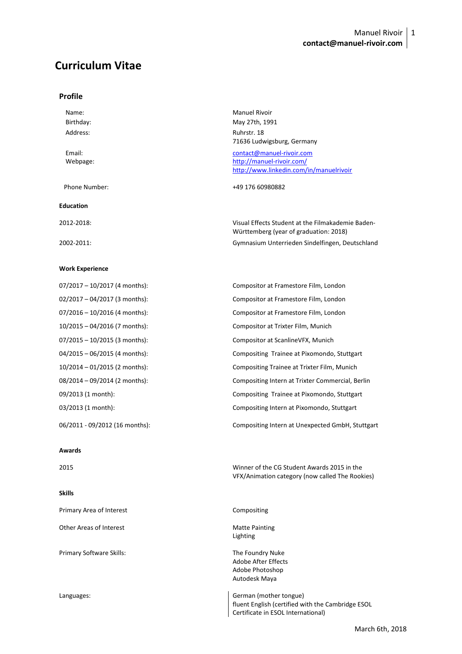# **Curriculum Vitae**

### **Profile**

| Name:<br>Birthday:<br>Address: | <b>Manuel Rivoir</b><br>May 27th, 1991<br>Ruhrstr. 18<br>71636 Ludwigsburg, Germany               |
|--------------------------------|---------------------------------------------------------------------------------------------------|
| Email:<br>Webpage:             | contact@manuel-rivoir.com<br>http://manuel-rivoir.com/<br>http://www.linkedin.com/in/manuelrivoir |
| Phone Number:                  | +49 176 60980882                                                                                  |
| <b>Education</b>               |                                                                                                   |
| 2012-2018:                     | Visual Effects Student at the Filmakademie Baden-<br>Württemberg (year of graduation: 2018)       |

Compositor at Framestore Film, London Compositor at Framestore Film, London Compositor at Framestore Film, London Compositor at Trixter Film, Munich Compositor at ScanlineVFX, Munich

Compositing Trainee at Pixomondo, Stuttgart Compositing Trainee at Trixter Film, Munich Compositing Intern at Trixter Commercial, Berlin Compositing Trainee at Pixomondo, Stuttgart Compositing Intern at Pixomondo, Stuttgart

VFX/Animation category (now called The Rookies)

2002-2011: Gymnasium Unterrieden Sindelfingen, Deutschland

## **Work Experience**

| 07/2017 - 10/2017 (4 months): |
|-------------------------------|
| 02/2017 - 04/2017 (3 months): |
| 07/2016 - 10/2016 (4 months): |
| 10/2015 - 04/2016 (7 months): |
| 07/2015 - 10/2015 (3 months): |
| 04/2015 - 06/2015 (4 months): |
| 10/2014 - 01/2015 (2 months): |
| 08/2014 - 09/2014 (2 months): |
| 09/2013 (1 month):            |
| 03/2013 (1 month):            |
|                               |

06/2011 - 09/2012 (16 months): Compositing Intern at Unexpected GmbH, Stuttgart

#### **Awards**

2015 Winner of the CG Student Awards 2015 in the

## **Skills**

| Primary Area of Interest | Compositing                                                                                                       |
|--------------------------|-------------------------------------------------------------------------------------------------------------------|
| Other Areas of Interest  | <b>Matte Painting</b><br>Lighting                                                                                 |
| Primary Software Skills: | The Foundry Nuke<br>Adobe After Effects<br>Adobe Photoshop<br>Autodesk Maya                                       |
| Languages:               | German (mother tongue)<br>fluent English (certified with the Cambridge ESOL<br>Certificate in ESOL International) |